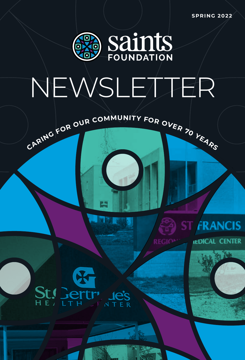**SPRING 2022**



# NEWSLETTER

CARING FOR OUR COMMUNITY FOR OVER 20 YEARS





**ST/FRANCIS**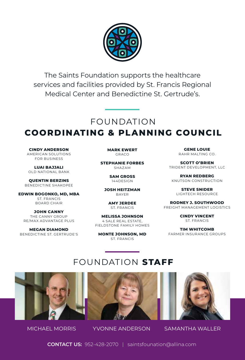

The Saints Foundation supports the healthcare services and facilities provided by St. Francis Regional Medical Center and Benedictine St. Gertrude's.

#### FOUNDATION **COORDINATING & PLANNING COUNCIL**

**CINDY ANDERSON**  AMERICAN SOLUTIONS FOR BUSINESS

**LUAI BAJJALI** OLD NATIONAL BANK

**QUENTIN BERZINS** BENEDICTINE SHAKOPEE

**EDWIN BOGONKO, MD, MBA** ST. FRANCIS BOARD CHAIR

**JOHN CANNY** THE CANNY GROUP RE/MAX ADVANTAGE PLUS

**MEGAN DIAMOND** BENEDICTINE ST. GERTRUDE'S **MARK EWERT** GRACO

**STEPHANIE FORBES** SHAZAM

> **SAM GROSS** 144DESIGN

**JOSH HEITZMAN** BAYER

> **AMY JERDEE** ST. FRANCIS

**MELISSA JOHNSON** 4 SALE REAL ESTATE, FIELDSTONE FAMILY HOMES

**MONTE JOHNSON, MD** ST. FRANCIS

**GENE LOUIE** RAHR MALTING CO.

**SCOTT O'BRIEN** TRIDENT DEVELOPMENT, LLC

**RYAN REDBERG** KNUTSON CONSTRUCTION

> **STEVE SNIDER** LIGHTECH RESOURCE

**RODNEY J. SOUTHWOOD** FREIGHT MANAGEMENT LOGISTICS

> **CINDY VINCENT** ST. FRANCIS

**TIM WHITCOMB** FARMER INSURANCE GROUPS

#### FOUNDATION **STAFF**



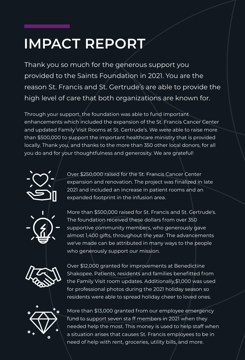# **IMPACT REPORT**

Thank you so much for the generous support you provided to the Saints Foundation in 2021. You are the reason St. Francis and St. Gertrude's are able to provide the high level of care that both organizations are known for.

Through your support, the foundation was able to fund important enhancements which included the expansion of the St. Francis Cancer Center and updated Family Visit Rooms at St. Gertrude's. We were able to raise more than \$500,000 to support the important healthcare ministry that is provided locally. Thank you, and thanks to the more than 350 other local donors, for all you do and for your thoughtfulness and generosity. We are grateful!



Over \$250,000 raised for the St. Francis Cancer Center expansion and renovation. The project was finalized in late 2021 and included an increase in patient rooms and an expanded footprint in the infusion area.



More than \$500,000 raised for St. Francis and St. Gertrude's. The foundation received these dollars from over 350 supportive community members, who generously gave almost 1,400 gifts, throughout the year. The advancements we've made can be attributed in many ways to the people who generously support our mission.



Over \$12,000 granted for improvements at Benedictine Shakopee. Patients, residents and families benefitted from the Family Visit room updates. Additionally,\$1,000 was used for professional photos during the 2021 holiday season so residents were able to spread holiday cheer to loved ones.



More than \$13,000 granted from our employee emergency fund to support seven sta ff members in 2021 when they needed help the most. This money is used to help staff when a situation arises that causes St. Francis employees to be in need of help with rent, groceries, utility bills, and more.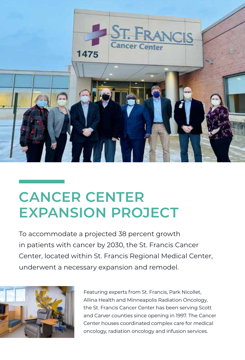

### **CANCER CENTER EXPANSION PROJECT**

To accommodate a projected 38 percent growth in patients with cancer by 2030, the St. Francis Cancer Center, located within St. Francis Regional Medical Center, underwent a necessary expansion and remodel.



Featuring experts from St. Francis, Park Nicollet, Allina Health and Minneapolis Radiation Oncology, the St. Francis Cancer Center has been serving Scott and Carver counties since opening in 1997. The Cancer Center houses coordinated complex care for medical oncology, radiation oncology and infusion services.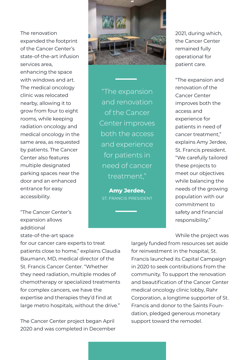The renovation expanded the footprint of the Cancer Center's state-of-the-art infusion services area, enhancing the space with windows and art. The medical oncology clinic was relocated nearby, allowing it to grow from four to eight rooms, while keeping radiation oncology and medical oncology in the same area, as requested by patients. The Cancer Center also features multiple designated parking spaces near the door and an enhanced entrance for easy accessibility.

"The Cancer Center's expansion allows additional

state-of-the-art space



"The expansion and renovation of the Cancer Center improves both the access and experience for patients in need of cancer treatment,"

**Amy Jerdee,**  ST. FRANCIS PRESIDENT 2021, during which, the Cancer Center remained fully operational for patient care.

"The expansion and renovation of the Cancer Center improves both the access and experience for patients in need of cancer treatment," explains Amy Jerdee, St. Francis president. "We carefully tailored these projects to meet our objectives while balancing the needs of the growing population with our commitment to safety and financial responsibility."

While the project was

for our cancer care experts to treat patients close to home," explains Claudia Baumann, MD, medical director of the St. Francis Cancer Center. "Whether they need radiation, multiple modes of chemotherapy or specialized treatments for complex cancers, we have the expertise and therapies they'd find at large metro hospitals, without the drive."

The Cancer Center project began April 2020 and was completed in December

largely funded from resources set aside for reinvestment in the hospital, St. Francis launched its Capital Campaign in 2020 to seek contributions from the community. To support the renovation and beautification of the Cancer Center medical oncology clinic lobby, Rahr Corporation, a longtime supporter of St. Francis and donor to the Saints Foundation, pledged generous monetary support toward the remodel.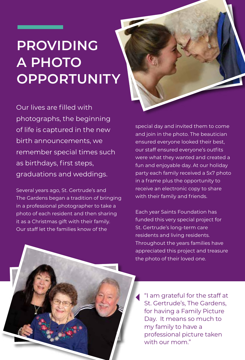## **PROVIDING A PHOTO OPPORTUNITY**

Our lives are filled with photographs, the beginning of life is captured in the new birth announcements, we remember special times such as birthdays, first steps, graduations and weddings.

Several years ago, St. Gertrude's and The Gardens began a tradition of bringing in a professional photographer to take a photo of each resident and then sharing it as a Christmas gift with their family. Our staff let the families know of the

special day and invited them to come and join in the photo. The beautician ensured everyone looked their best, our staff ensured everyone's outfits were what they wanted and created a fun and enjoyable day. At our holiday party each family received a 5x7 photo in a frame plus the opportunity to receive an electronic copy to share with their family and friends.

Each year Saints Foundation has funded this very special project for St. Gertrude's long-term care residents and living residents. Throughout the years families have appreciated this project and treasure the photo of their loved one.

"I am grateful for the staff at St. Gertrude's, The Gardens, for having a Family Picture Day. It means so much to my family to have a professional picture taken with our mom."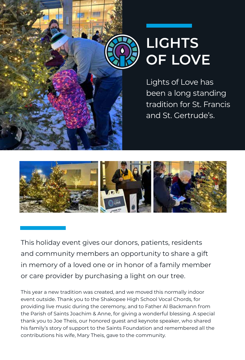

## **LIGHTS OF LOVE**

Lights of Love has been a long standing tradition for St. Francis and St. Gertrude's.



This holiday event gives our donors, patients, residents and community members an opportunity to share a gift in memory of a loved one or in honor of a family member or care provider by purchasing a light on our tree.

This year a new tradition was created, and we moved this normally indoor event outside. Thank you to the Shakopee High School Vocal Chords, for providing live music during the ceremony, and to Father Al Backmann from the Parish of Saints Joachim & Anne, for giving a wonderful blessing. A special thank you to Joe Theis, our honored guest and keynote speaker, who shared his family's story of support to the Saints Foundation and remembered all the contributions his wife, Mary Theis, gave to the community.